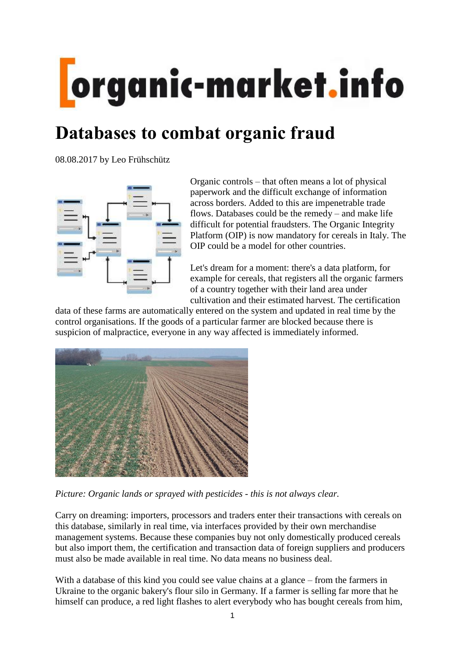# organic-market.info

# **Databases to combat organic fraud**

08.08.2017 by Leo Frühschütz



Organic controls – that often means a lot of physical paperwork and the difficult exchange of information across borders. Added to this are impenetrable trade flows. Databases could be the remedy – and make life difficult for potential fraudsters. The Organic Integrity Platform (OIP) is now mandatory for cereals in Italy. The OIP could be a model for other countries.

Let's dream for a moment: there's a data platform, for example for cereals, that registers all the organic farmers of a country together with their land area under cultivation and their estimated harvest. The certification

data of these farms are automatically entered on the system and updated in real time by the control organisations. If the goods of a particular farmer are blocked because there is suspicion of malpractice, everyone in any way affected is immediately informed.



*Picture: Organic lands or sprayed with pesticides - this is not always clear.*

Carry on dreaming: importers, processors and traders enter their transactions with cereals on this database, similarly in real time, via interfaces provided by their own merchandise management systems. Because these companies buy not only domestically produced cereals but also import them, the certification and transaction data of foreign suppliers and producers must also be made available in real time. No data means no business deal.

With a database of this kind you could see value chains at a glance – from the farmers in Ukraine to the organic bakery's flour silo in Germany. If a farmer is selling far more that he himself can produce, a red light flashes to alert everybody who has bought cereals from him,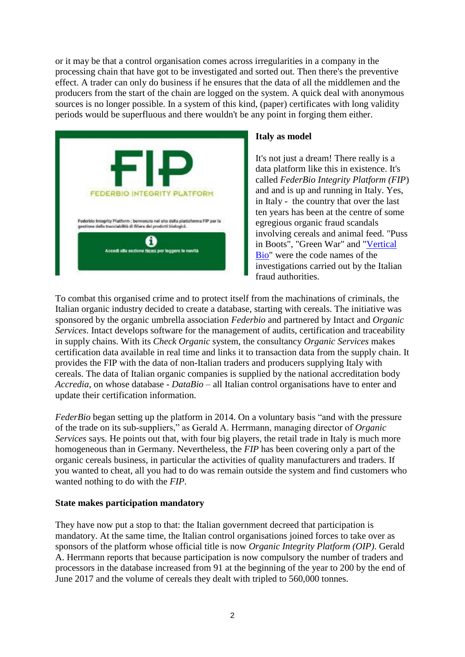or it may be that a control organisation comes across irregularities in a company in the processing chain that have got to be investigated and sorted out. Then there's the preventive effect. A trader can only do business if he ensures that the data of all the middlemen and the producers from the start of the chain are logged on the system. A quick deal with anonymous sources is no longer possible. In a system of this kind, (paper) certificates with long validity periods would be superfluous and there wouldn't be any point in forging them either.



#### **Italy as model**

It's not just a dream! There really is a data platform like this in existence. It's called *FederBio Integrity Platform (FIP*) and and is up and running in Italy. Yes, in Italy - the country that over the last ten years has been at the centre of some egregious organic fraud scandals involving cereals and animal feed. "Puss in Boots", "Green War" and ["Vertical](http://organic-market.info/news-in-brief-and-reports-article/14661-Italy.html)  [Bio"](http://organic-market.info/news-in-brief-and-reports-article/14661-Italy.html) were the code names of the investigations carried out by the Italian fraud authorities.

To combat this organised crime and to protect itself from the machinations of criminals, the Italian organic industry decided to create a database, starting with cereals. The initiative was sponsored by the organic umbrella association *Federbio* and partnered by Intact and *Organic Services*. Intact develops software for the management of audits, certification and traceability in supply chains. With its *Check Organic* system, the consultancy *Organic Services* makes certification data available in real time and links it to transaction data from the supply chain. It provides the FIP with the data of non-Italian traders and producers supplying Italy with cereals. The data of Italian organic companies is supplied by the national accreditation body *Accredia*, on whose database - *DataBio* – all Italian control organisations have to enter and update their certification information.

*FederBio* began setting up the platform in 2014. On a voluntary basis "and with the pressure of the trade on its sub-suppliers," as Gerald A. Herrmann, managing director of *Organic Services* says. He points out that, with four big players, the retail trade in Italy is much more homogeneous than in Germany. Nevertheless, the *FIP* has been covering only a part of the organic cereals business, in particular the activities of quality manufacturers and traders. If you wanted to cheat, all you had to do was remain outside the system and find customers who wanted nothing to do with the *FIP*.

## **State makes participation mandatory**

They have now put a stop to that: the Italian government decreed that participation is mandatory. At the same time, the Italian control organisations joined forces to take over as sponsors of the platform whose official title is now *Organic Integrity Platform (OIP)*. Gerald A. Herrmann reports that because participation is now compulsory the number of traders and processors in the database increased from 91 at the beginning of the year to 200 by the end of June 2017 and the volume of cereals they dealt with tripled to 560,000 tonnes.